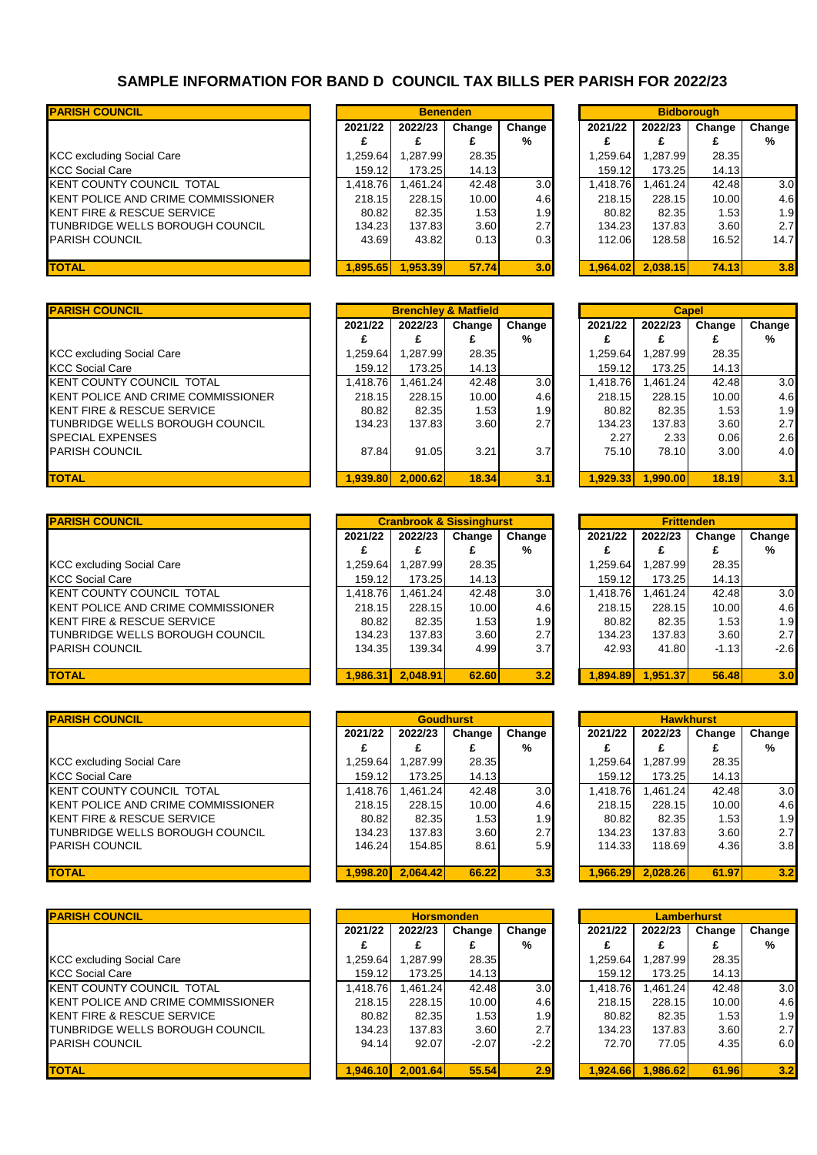## **SAMPLE INFORMATION FOR BAND D COUNCIL TAX BILLS PER PARISH FOR 2022/23**

| <b>IPARISH COUNCIL</b>                  |          |          | <b>Benenden</b> |                  | <b>Bidborough</b> |          |        |                |  |
|-----------------------------------------|----------|----------|-----------------|------------------|-------------------|----------|--------|----------------|--|
|                                         | 2021/22  | 2022/23  | Change          | Change           | 2021/22           | 2022/23  | Change | Change         |  |
|                                         |          |          |                 | %                |                   |          |        | %              |  |
| <b>KCC excluding Social Care</b>        | .259.64  | 1,287.99 | 28.35           |                  | 1.259.64          | .287.99  | 28.35  |                |  |
| <b>KCC Social Care</b>                  | 159.12   | 173.25   | 14.13           |                  | 159.12            | 173.25   | 14.13  |                |  |
| KENT COUNTY COUNCIL TOTAL               | .418.76  | .461.24  | 42.48           | 3.0 <sub>l</sub> | 1.418.76          | .461.24  | 42.48  | 3 <sub>c</sub> |  |
| KENT POLICE AND CRIME COMMISSIONER      | 218.15   | 228.15   | 10.00           | 4.6              | 218.15            | 228.15   | 10.00  | 4.6            |  |
| <b>IKENT FIRE &amp; RESCUE SERVICE</b>  | 80.82    | 82.35    | 1.53            | 1.9              | 80.82             | 82.35    | 1.53   | 1.9            |  |
| <b>ITUNBRIDGE WELLS BOROUGH COUNCIL</b> | 134.23   | 137.83   | 3.60            | 2.7 <sub>l</sub> | 134.23            | 137.83   | 3.60   | 2.7            |  |
| <b>IPARISH COUNCIL</b>                  | 43.69    | 43.82    | 0.13            | 0.3 <sub>l</sub> | 112.06            | 128.58   | 16.52  | 14.7           |  |
| <b>TOTAL</b>                            | 1.895.65 | 1.953.39 | 57.74           | 3.0              | 1.964.02          | 2.038.15 | 74.13  | 3.8            |  |

|          | <b>Benenden</b> |        |        |
|----------|-----------------|--------|--------|
| 2021/22  | 2022/23         | Change | Change |
| £        | £               | £      | %      |
| 1,259.64 | 1,287.99        | 28.35  |        |
| 159.12   | 173.25          | 14.13  |        |
| 1,418.76 | 1,461.24        | 42.48  | 3(     |
| 218.15   | 228.15          | 10.00  | 4.6    |
| 80.82    | 82.35           | 1.53   | 1.9    |
| 134.23   | 137.83          | 3.60   | 2.7    |
| 43.69    | 43.82           | 0.13   | 0.3    |
|          |                 |        |        |
| 1.895.65 | 1.953.39        | 57.74  | 3.0    |
|          |                 |        |        |

| <b>PARISH COUNCIL</b>              |          |          | <b>Brenchley &amp; Matfield</b> |                  |          | <b>Capel</b> |        |                |
|------------------------------------|----------|----------|---------------------------------|------------------|----------|--------------|--------|----------------|
|                                    | 2021/22  | 2022/23  | Change                          | Change           | 2021/22  | 2022/23      | Change | Change         |
|                                    | £        |          | £                               | %                |          | £            |        | %              |
| <b>KCC excluding Social Care</b>   | 1.259.64 | .287.99  | 28.35                           |                  | 1.259.64 | .287.99      | 28.35  |                |
| <b>KCC Social Care</b>             | 159.12   | 173.25   | 14.13                           |                  | 159.12   | 173.25       | 14.13  |                |
| KENT COUNTY COUNCIL TOTAL          | 1.418.76 | .461.24  | 42.48                           | 3.0              | 1.418.76 | .461.24      | 42.48  | 3 <sub>c</sub> |
| KENT POLICE AND CRIME COMMISSIONER | 218.15   | 228.15   | 10.00                           | 4.6              | 218.15   | 228.15       | 10.00  | 4.6            |
| KENT FIRE & RESCUE SERVICE         | 80.82    | 82.35    | 1.53                            | 1.9 <sub>l</sub> | 80.82    | 82.35        | 1.53   | 1.9            |
| TUNBRIDGE WELLS BOROUGH COUNCIL    | 134.23   | 137.83   | 3.60                            | 2.7              | 134.23   | 137.83       | 3.60   | 2.7            |
| SPECIAL EXPENSES                   |          |          |                                 |                  | 2.27     | 2.33         | 0.06   | 2.6            |
| PARISH COUNCIL                     | 87.84    | 91.05    | 3.21                            | 3.7              | 75.10    | 78.10        | 3.00   | 4.C            |
|                                    |          |          |                                 |                  |          |              |        |                |
| <b>TOTAL</b>                       | 1.939.80 | 2.000.62 | 18.34                           | 3.1              | 1.929.33 | 1.990.00     | 18.19  | 3.1            |
|                                    |          |          |                                 |                  |          |              |        |                |

| <b>PARISH COUNCIL</b>              |          |          | <b>Cranbrook &amp; Sissinghurst</b> |                  |                 | <b>Frittenden</b> |         |                |  |
|------------------------------------|----------|----------|-------------------------------------|------------------|-----------------|-------------------|---------|----------------|--|
|                                    | 2021/22  | 2022/23  | Change                              | Change           | 2021/22         | 2022/23           | Change  | Change         |  |
|                                    | £        |          |                                     | %                |                 | £                 |         | %              |  |
| <b>KCC excluding Social Care</b>   | 1.259.64 | .287.99  | 28.35                               |                  | .259.64         | .287.99           | 28.35   |                |  |
| KCC Social Care                    | 159.12   | 173.25   | 14.13                               |                  | 159.12          | 173.25            | 14.13   |                |  |
| KENT COUNTY COUNCIL TOTAL          | ,418.76  | .461.24  | 42.48                               | 3.0              | <b>1.418.76</b> | .461.24           | 42.48   | 3 <sub>c</sub> |  |
| KENT POLICE AND CRIME COMMISSIONER | 218.15   | 228.15   | 10.00                               | 4.6              | 218.15          | 228.15            | 10.00   | 4.6            |  |
| KENT FIRE & RESCUE SERVICE         | 80.82    | 82.35    | 1.53                                | 1.9 <sub>l</sub> | 80.82           | 82.35             | 1.53    | 1.9            |  |
| TUNBRIDGE WELLS BOROUGH COUNCIL    | 134.23   | 137.83   | 3.60                                | 2.7              | 134.23          | 137.83            | 3.60    | 2.7            |  |
| PARISH COUNCIL                     | 134.35   | 139.341  | 4.99                                | 3.7              | 42.93           | 41.80             | $-1.13$ | $-2.6$         |  |
|                                    |          |          |                                     |                  |                 |                   |         |                |  |
| <b>TOTAL</b>                       | 1.986.31 | 2.048.91 | 62.60                               | 3.2              | 1.894.89        | 1.951.37          | 56.48   | 3.0            |  |

| 2021/22  | 2022/23   | Change | Change           |       | 2021/22   | 2022/23  | Change | Change           |
|----------|-----------|--------|------------------|-------|-----------|----------|--------|------------------|
|          |           |        | %                |       |           |          |        | %                |
| 84.259 ا | ا 287.99. | 28.35  |                  |       | 1.259.64  | .287.99  | 28.35  |                  |
| 159.12   | 173.25    | 14.13  |                  |       | 159.12    | 173.25   | 14.13  |                  |
| ,418.76  | .461.24   | 42.48  | 3.0 <sub>l</sub> |       | 418.76. ا | .461.24  | 42.48  | 3 <sub>c</sub>   |
| 218.15   | 228.15    | 10.00  | 4.6              |       | 218.15    | 228.15   | 10.00  | 4.6              |
| 80.82    | 82.35     | 1.53   | 1.9              |       | 80.82     | 82.35    | 1.53   | 1.9              |
| 134.23   | 137.831   | 3.60   | 2.7              |       | 134.23    | 137.83   | 3.60   | 2.7              |
| 146.24   | 154.85    | 8.61   | 5.9              |       | 114.33    | 118.69   | 4.36   | 3.8              |
|          |           |        |                  |       |           |          |        |                  |
| 1.998.20 | 2.064.42  |        | 3.3              |       | 1.966.29  | 2.028.26 | 61.97  | 3.2              |
|          |           |        | <b>Goudhurst</b> | 66.22 |           |          |        | <b>Hawkhurst</b> |

| <b>PARISH COUNCIL</b>                 |          | <b>Horsmonden</b> |         |                  |                 | <b>Lamberhurst</b> |        |                 |
|---------------------------------------|----------|-------------------|---------|------------------|-----------------|--------------------|--------|-----------------|
|                                       | 2021/22  | 2022/23           | Change  | Change           | 2021/22         | 2022/23            | Change | Change          |
|                                       | £        |                   |         | %                |                 | £                  |        | %               |
| <b>KCC excluding Social Care</b>      | .259.64  | .287.99           | 28.35   |                  | .259.64         | .287.99            | 28.35  |                 |
| KCC Social Care                       | 159.12   | 173.251           | 14.13   |                  | 159.12          | 173.25             | 14.13  |                 |
| KENT COUNTY COUNCIL TOTAL             | .418.76  | .461.24           | 42.48   | 3.0 <sub>l</sub> | <b>1.418.76</b> | .461.24            | 42.48  | 3 <sub>c</sub>  |
| KENT POLICE AND CRIME COMMISSIONER    | 218.15   | 228.15            | 10.00   | 4.6              | 218.15          | 228.15             | 10.00  | 4.6             |
| <b>KENT FIRE &amp; RESCUE SERVICE</b> | 80.82    | 82.35             | 1.53    | 1.9 <sub>l</sub> | 80.82           | 82.35              | 1.53   | 1.9             |
| TUNBRIDGE WELLS BOROUGH COUNCIL       | 134.23   | 137.83            | 3.60    | 2.7              | 134.23          | 137.83             | 3.60   | 2.7             |
| PARISH COUNCIL                        | 94.14    | 92.07             | $-2.07$ | $-2.2$           | 72.70           | 77.05              | 4.35   | 6. <sub>C</sub> |
|                                       |          |                   |         |                  |                 |                    |        |                 |
| <b>TOTAL</b>                          | 1.946.10 | 2.001.64          | 55.54   | 2.9              | 1.924.66        | 1.986.62           | 61.96  | 3.2             |

|          | <b>Benenden</b> |        |                  |          | <b>Bidborough</b> |        |        |
|----------|-----------------|--------|------------------|----------|-------------------|--------|--------|
| 2021/22  | 2022/23         | Change | Change           | 2021/22  | 2022/23           | Change | Change |
|          | £               | £      | %                |          |                   |        | %      |
| 1,259.64 | 1,287.99        | 28.35  |                  | 1,259.64 | 1.287.99          | 28.35  |        |
| 159.12   | 173.25          | 14.13  |                  | 159.12   | 173.25            | 14.13  |        |
| 1,418.76 | 1,461.24        | 42.48  | 3.0 <sub>l</sub> | 1,418.76 | 1,461.24          | 42.48  | 3.0    |
| 218.15   | 228.15          | 10.00  | 4.6              | 218.15   | 228.15            | 10.00  | 4.6    |
| 80.82    | 82.35           | 1.53   | 1.9              | 80.82    | 82.35             | 1.53   | 1.9    |
| 134.23   | 137.83          | 3.60   | 2.7              | 134.23   | 137.83            | 3.60   | 2.7    |
| 43.69    | 43.82           | 0.13   | 0.3              | 112.06   | 128.58            | 16.52  | 14.7   |
|          |                 |        |                  |          |                   |        |        |
| 1,895.65 | 1,953.39        | 57.74  | 3.0              | 1,964.02 | 2,038.15          | 74.13  | 3.8    |
|          |                 |        |                  |          |                   |        |        |

|          | <b>Brenchley &amp; Matfield</b> |        |        |          | <b>Capel</b> |        |        |
|----------|---------------------------------|--------|--------|----------|--------------|--------|--------|
| 2021/22  | 2022/23                         | Change | Change | 2021/22  | 2022/23      | Change | Change |
|          |                                 | £      | %      |          |              |        | %      |
| 1.259.64 | 1,287.99                        | 28.35  |        | 1,259.64 | 1,287.99     | 28.35  |        |
| 159.12   | 173.25                          | 14.13  |        | 159.12   | 173.25       | 14.13  |        |
| 1.418.76 | 1.461.24                        | 42.48  | 3.0    | 1.418.76 | 1.461.24     | 42.48  | 3.0    |
| 218.15   | 228.15                          | 10.00  | 4.6    | 218.15   | 228.15       | 10.00  | 4.6    |
| 80.82    | 82.35                           | 1.53   | 1.9    | 80.82    | 82.35        | 1.53   | 1.9    |
| 134.23   | 137.83                          | 3.60   | 2.7    | 134.23   | 137.83       | 3.60   | 2.7    |
|          |                                 |        |        | 2.27     | 2.33         | 0.06   | 2.6    |
| 87.84    | 91.05                           | 3.21   | 3.7    | 75.10    | 78.10        | 3.00   | 4.0    |
|          |                                 |        |        |          |              |        |        |
| 1,939.80 | 2,000.62                        | 18.34  | 3.1    | 1,929.33 | 1,990.00     | 18.19  | 3.1    |

| <b>Cranbrook &amp; Sissinghurst</b><br><b>Frittenden</b><br>2022/23<br>2021/22<br>2022/23<br>Change<br>Change<br>Change<br>Change<br>%<br>%<br>£<br>£<br>£<br>£<br>£<br>1,287.99<br>1,259.64<br>28.35<br>1,259.64<br>1,287.99<br>28.35<br>159.12<br>173.25<br>14.13<br>159.12<br>173.25<br>14.13<br>3.0<br>1,418.76<br>42.48<br>1,418.76<br>3.0<br>1,461.24<br>1,461.24<br>42.48<br>228.15<br>218.15<br>228.15<br>4.6<br>218.15<br>4.6<br>10.00<br>10.00<br>1.9<br>80.82<br>1.53<br>1.9<br>80.82<br>1.53<br>82.35<br>82.35<br>2.7<br>2.7<br>134.23<br>137.83<br>3.60<br>134.23<br>137.83<br>3.60<br>3.7<br>134.35<br>4.99<br>42.93<br>41.80<br>$-2.6$<br>139.34<br>$-1.13$<br>2.048.91<br>1.894.89<br>1.986.31<br>3.2<br>1.951.37<br>62.60<br>56.48<br>3.0 |         |  |  |  |  |  |
|------------------------------------------------------------------------------------------------------------------------------------------------------------------------------------------------------------------------------------------------------------------------------------------------------------------------------------------------------------------------------------------------------------------------------------------------------------------------------------------------------------------------------------------------------------------------------------------------------------------------------------------------------------------------------------------------------------------------------------------------------------|---------|--|--|--|--|--|
|                                                                                                                                                                                                                                                                                                                                                                                                                                                                                                                                                                                                                                                                                                                                                            |         |  |  |  |  |  |
|                                                                                                                                                                                                                                                                                                                                                                                                                                                                                                                                                                                                                                                                                                                                                            | 2021/22 |  |  |  |  |  |
|                                                                                                                                                                                                                                                                                                                                                                                                                                                                                                                                                                                                                                                                                                                                                            |         |  |  |  |  |  |
|                                                                                                                                                                                                                                                                                                                                                                                                                                                                                                                                                                                                                                                                                                                                                            |         |  |  |  |  |  |
|                                                                                                                                                                                                                                                                                                                                                                                                                                                                                                                                                                                                                                                                                                                                                            |         |  |  |  |  |  |
|                                                                                                                                                                                                                                                                                                                                                                                                                                                                                                                                                                                                                                                                                                                                                            |         |  |  |  |  |  |
|                                                                                                                                                                                                                                                                                                                                                                                                                                                                                                                                                                                                                                                                                                                                                            |         |  |  |  |  |  |
|                                                                                                                                                                                                                                                                                                                                                                                                                                                                                                                                                                                                                                                                                                                                                            |         |  |  |  |  |  |
|                                                                                                                                                                                                                                                                                                                                                                                                                                                                                                                                                                                                                                                                                                                                                            |         |  |  |  |  |  |
|                                                                                                                                                                                                                                                                                                                                                                                                                                                                                                                                                                                                                                                                                                                                                            |         |  |  |  |  |  |
|                                                                                                                                                                                                                                                                                                                                                                                                                                                                                                                                                                                                                                                                                                                                                            |         |  |  |  |  |  |
|                                                                                                                                                                                                                                                                                                                                                                                                                                                                                                                                                                                                                                                                                                                                                            |         |  |  |  |  |  |

|          |          | <b>Goudhurst</b> |        |          |          | <b>Hawkhurst</b> |        |
|----------|----------|------------------|--------|----------|----------|------------------|--------|
| 2021/22  | 2022/23  | Change           | Change | 2021/22  | 2022/23  | Change           | Change |
|          |          |                  | %      | £        | £        | £                | %      |
| 1,259.64 | 1,287.99 | 28.35            |        | 1,259.64 | 1,287.99 | 28.35            |        |
| 159.12   | 173.25   | 14.13            |        | 159.12   | 173.25   | 14.13            |        |
| 1,418.76 | 1,461.24 | 42.48            | 3.0    | 1,418.76 | 1.461.24 | 42.48            | 3.0    |
| 218.15   | 228.15   | 10.00            | 4.6    | 218.15   | 228.15   | 10.00            | 4.6    |
| 80.82    | 82.35    | 1.53             | 1.9    | 80.82    | 82.35    | 1.53             | 1.9    |
| 134.23   | 137.83   | 3.60             | 2.7    | 134.23   | 137.83   | 3.60             | 2.7    |
| 146.24   | 154.85   | 8.61             | 5.9    | 114.33   | 118.69   | 4.36             | 3.8    |
|          |          |                  |        |          |          |                  |        |
| 1.998.20 | 2.064.42 | 66.22            | 3.3    | 1.966.29 | 2.028.26 | 61.97            | 3.2    |

|          | <b>Horsmonden</b> |         |        |          |          | <b>Lamberhurst</b> |        |
|----------|-------------------|---------|--------|----------|----------|--------------------|--------|
| 2021/22  | 2022/23           | Change  | Change | 2021/22  | 2022/23  | Change             | Change |
|          | £                 | £       | %      |          | £        | £                  | %      |
| 1,259.64 | 1,287.99          | 28.35   |        | 1,259.64 | 1,287.99 | 28.35              |        |
| 159.12   | 173.25            | 14.13   |        | 159.12   | 173.25   | 14.13              |        |
| 1,418.76 | 1,461.24          | 42.48   | 3.0    | 1,418.76 | 1.461.24 | 42.48              | 3.0    |
| 218.15   | 228.15            | 10.00   | 4.6    | 218.15   | 228.15   | 10.00              | 4.6    |
| 80.82    | 82.35             | 1.53    | 1.9    | 80.82    | 82.35    | 1.53               | 1.9    |
| 134.23   | 137.83            | 3.60    | 2.7    | 134.23   | 137.83   | 3.60               | 2.7    |
| 94.14    | 92.07             | $-2.07$ | $-2.2$ | 72.70    | 77.05    | 4.35               | 6.0    |
|          |                   |         |        |          |          |                    |        |
| 1.946.10 | 2.001.64          | 55.54   | 2.9    | 1.924.66 | 1.986.62 | 61.96              | 3.2    |

| <b>PARISH COUNCIL</b>              |         |         | <b>Brenchley &amp; Matfield</b> |                  |                 | <b>Capel</b> |        |                |
|------------------------------------|---------|---------|---------------------------------|------------------|-----------------|--------------|--------|----------------|
|                                    | 2021/22 | 2022/23 | Change                          | Change           | 2021/22         | 2022/23      | Change | Change         |
|                                    |         |         |                                 | %                |                 |              |        | %              |
| <b>KCC excluding Social Care</b>   | .259.64 | ,287.99 | 28.35                           |                  | .259.64         | ,287.99      | 28.35  |                |
| KCC Social Care                    | 159.12  | 173.25  | 14.13                           |                  | 159.12          | 173.25       | 14.13  |                |
| KENT COUNTY COUNCIL TOTAL          | .418.76 | .461.24 | 42.48                           | 3.0 <sub>l</sub> | <b>1.418.76</b> | .461.24      | 42.48  | 3 <sub>c</sub> |
| KENT POLICE AND CRIME COMMISSIONER | 218.15  | 228.15  | 10.00                           | 4.6              | 218.15          | 228.15       | 10.00  | 4.6            |
| KENT FIRE & RESCUE SERVICE         | 80.82   | 82.35   | 1.53                            | 1.9 <sub>l</sub> | 80.82           | 82.35        | 1.53   | 1.S            |
| TUNBRIDGE WELLS BOROUGH COUNCIL    | 134.23  | 137.83  | 3.60                            | 2.7              | 134.23          | 137.83       | 3.60   | 2.7            |
| SPECIAL EXPENSES                   |         |         |                                 |                  | 2.27            | 2.33         | 0.06   | 2.6            |
| PARISH COUNCIL                     | 87.84   | 91.05   | 3.21                            | 3.7              | 75.10           | 78.10        | 3.00   | 4.C            |
|                                    |         |         |                                 |                  |                 |              |        |                |

| <b>PARISH COUNCIL</b>                     | <b>Cranbrook &amp; Sissinghurst</b> |          |        |                  |  | <b>Frittenden</b> |          |         |                |  |  |
|-------------------------------------------|-------------------------------------|----------|--------|------------------|--|-------------------|----------|---------|----------------|--|--|
|                                           | 2021/22                             | 2022/23  | Change | Change           |  | 2021/22           | 2022/23  | Change  | Change         |  |  |
|                                           |                                     |          |        | %                |  |                   |          |         | %              |  |  |
| <b>KCC excluding Social Care</b>          | .259.64                             | 1.287.99 | 28.35  |                  |  | 1.259.64          | 1.287.99 | 28.35   |                |  |  |
| <b>KCC Social Care</b>                    | 159.12                              | 173.25   | 14.13  |                  |  | 159.12            | 173.25   | 14.13   |                |  |  |
| KENT COUNTY COUNCIL TOTAL                 | 1.418.76                            | .461.24  | 42.48  | 3.0 <sub>l</sub> |  | 1.418.76          | 1.461.24 | 42.48   | 3 <sub>c</sub> |  |  |
| <b>KENT POLICE AND CRIME COMMISSIONER</b> | 218.15                              | 228.15   | 10.00  | 4.6              |  | 218.15            | 228.15   | 10.00   | 4.6            |  |  |
| <b>IKENT FIRE &amp; RESCUE SERVICE</b>    | 80.82                               | 82.35    | 1.53   | 1.9              |  | 80.82             | 82.35    | 1.53    | 1.9            |  |  |
| <b>ITUNBRIDGE WELLS BOROUGH COUNCIL</b>   | 134.23                              | 137.83   | 3.60   | 2.7              |  | 134.23            | 137.83   | 3.60    | 2.7            |  |  |
| <b>PARISH COUNCIL</b>                     | 134.35                              | 139.34   | 4.99   | 3.7 <sub>l</sub> |  | 42.93             | 41.80    | $-1.13$ | $-2.6$         |  |  |

**PARISH COUNCIL** 

|                                             | 2021/22 | 2022/23  | Change | Change           | 2021/22  | 2022/23  | Change | Change         |
|---------------------------------------------|---------|----------|--------|------------------|----------|----------|--------|----------------|
|                                             |         |          |        | %                |          |          |        | %              |
| <b>KCC excluding Social Care</b>            | .259.64 | 1.287.99 | 28.35  |                  | 1.259.64 | 1.287.99 | 28.35  |                |
| <b>KCC Social Care</b>                      | 159.12  | 173.25   | 14.13  |                  | 159.12   | 173.25   | 14.13  |                |
| <b>IKENT COUNTY COUNCIL TOTAL</b>           | .418.76 | 1.461.24 | 42.48  | 3.0 <sub>l</sub> | 1.418.76 | 1.461.24 | 42.48  | 3 <sub>c</sub> |
| <b>I</b> KENT POLICE AND CRIME COMMISSIONER | 218.15  | 228.15   | 10.00  | 4.6              | 218.15   | 228.15   | 10.00  | 4.6            |
| <b>I</b> KENT FIRE & RESCUE SERVICE         | 80.82   | 82.35    | 1.53   | 1.9 <sub>l</sub> | 80.82    | 82.35    | 1.53   | 1.S            |
| <b>TUNBRIDGE WELLS BOROUGH COUNCIL</b>      | 134.23  | 137.83   | 3.60   | 2.7              | 134.23   | 137.83   | 3.60   | 2.7            |
| <b>PARISH COUNCIL</b>                       | 146.24  | 154.85   | 8.61   | 5.9              | 114.33   | 118.69   | 4.36   | 3.8            |
|                                             |         |          |        |                  |          |          |        |                |

|  |  | <b>PARISH COUNCIL</b> |
|--|--|-----------------------|
|  |  |                       |

|                                            |          |          |                   | "∕o              |          |          |       | "∕o             |
|--------------------------------------------|----------|----------|-------------------|------------------|----------|----------|-------|-----------------|
| <b>KCC excluding Social Care</b>           | .259.64  | 1.287.99 | 28.35             |                  | 1.259.64 | 1.287.99 | 28.35 |                 |
| <b>KCC Social Care</b>                     | 159.12   | 173.25   | 14.13             |                  | 159.12   | 173.25   | 14.13 |                 |
| KENT COUNTY COUNCIL TOTAL                  | 1.418.76 | 461.24   | 42.48             | 3.0 <sub>l</sub> | 1.418.76 | 1.461.24 | 42.48 | 3 <sub>c</sub>  |
| <b>IKENT POLICE AND CRIME COMMISSIONER</b> | 218.15   | 228.15   | 10.00             | 4.6I             | 218.15   | 228.15   | 10.00 | 4.6             |
| <b>IKENT FIRE &amp; RESCUE SERVICE</b>     | 80.82    | 82.35    | 1.53 <sub>1</sub> | 1.9 <sub>l</sub> | 80.82    | 82.35    | 1.53  | 1.9             |
| <b>TUNBRIDGE WELLS BOROUGH COUNCIL</b>     | 134.23   | 137.83   | 3.60              | 2.71             | 134.23   | 137.83   | 3.60  | 2.7             |
| <b>PARISH COUNCIL</b>                      | 94.14    | 92.07    | $-2.07$           | $-2.2$           | 72.70    | 77.05    | 4.35  | 6. <sub>C</sub> |
|                                            |          |          |                   |                  |          |          |       |                 |